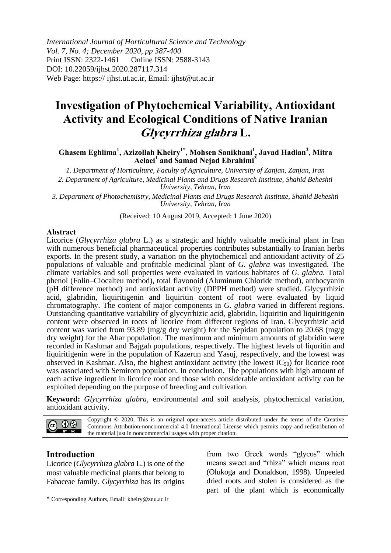*International Journal of Horticultural Science and Technology Vol. 7, No. 4; December 2020, pp 387-400* Print ISSN: 2322-1461 Online ISSN: 2588-3143 DOI: 10.22059/ijhst.2020.287117.314 Web Page: https:// ijhst.ut.ac.ir, Email: ijhst@ut.ac.ir

# **Investigation of Phytochemical Variability, Antioxidant Activity and Ecological Conditions of Native Iranian Glycyrrhiza glabra L.**

# **Ghasem Eghlima<sup>1</sup> , Azizollah Kheiry1\*, Mohsen Sanikhani<sup>1</sup> , Javad Hadian<sup>2</sup> , Mitra Aelaei<sup>1</sup> and Samad Nejad Ebrahimi<sup>3</sup>**

*1. Department of Horticulture, Faculty of Agriculture, University of Zanjan, Zanjan, Iran*

*2. Department of Agriculture, Medicinal Plants and Drugs Research Institute, Shahid Beheshti University, Tehran, Iran*

*3. Department of Photochemistry, Medicinal Plants and Drugs Research Institute, Shahid Beheshti University, Tehran, Iran*

(Received: 10 August 2019, Accepted: 1 June 2020)

#### **Abstract**

Licorice (*Glycyrrhiza glabra* L.) as a strategic and highly valuable medicinal plant in Iran with numerous beneficial pharmaceutical properties contributes substantially to Iranian herbs exports. In the present study, a variation on the phytochemical and antioxidant activity of 25 populations of valuable and profitable medicinal plant of *G. glabra* was investigated. The climate variables and soil properties were evaluated in various habitates of *G. glabra.* Total phenol (Folin–Ciocalteu method), total flavonoid (Aluminum Chloride method), anthocyanin (pH difference method) and antioxidant activity (DPPH method) were studied. Glycyrrhizic acid, glabridin, liquiritigenin and liquiritin content of root were evaluated by liquid chromatography. The content of major components in *G. glabra* varied in different regions. Outstanding quantitative variability of glycyrrhizic acid, glabridin, liquiritin and liquiritigenin content were observed in roots of licorice from different regions of Iran. Glycyrrhizic acid content was varied from 93.89 (mg/g dry weight) for the Sepidan population to 20.68 (mg/g dry weight) for the Ahar population. The maximum and minimum amounts of glabridin were recorded in Kashmar and Bajgah populations, respectively. The highest levels of liquritin and liquiritigenin were in the population of Kazerun and Yasuj, respectively, and the lowest was observed in Kashmar. Also, the highest antioxidant activity (the lowest  $IC_{50}$ ) for licorice root was associated with Semirom population. In conclusion, The populations with high amount of each active ingredient in licorice root and those with considerable antioxidant activity can be exploited depending on the purpose of breeding and cultivation.

**Keyword:** *Glycyrrhiza glabra*, environmental and soil analysis, phytochemical variation, antioxidant activity.

Copyright © 2020, This is an original open-access article distributed under the terms of the Creative  $0$ (cc) Commons Attribution-noncommercial 4.0 International License which permits copy and redistribution of the material just in noncommercial usages with proper citation.

### **Introduction**

1

Licorice (*Glycyrrhiza glabra* L.) is one of the most valuable medicinal plants that belong to Fabaceae family. *Glycyrrhiza* has its origins from two Greek words "glycos" which means sweet and "rhiza" which means root (Olukoga and Donaldson, 1998). Unpeeled dried roots and stolen is considered as the part of the plant which is economically

<sup>\*</sup> Corresponding Authors, Email: kheiry@znu.ac.ir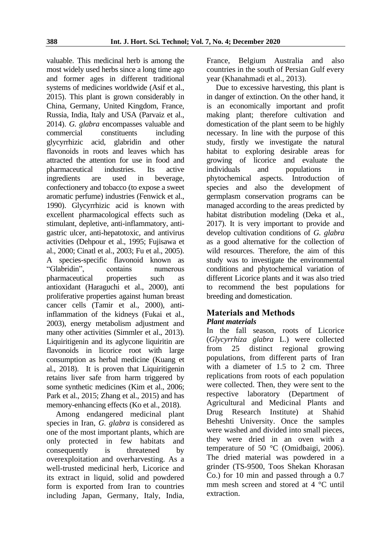valuable. This medicinal herb is among the most widely used herbs since a long time ago and former ages in different traditional systems of medicines worldwide (Asif et al., 2015). This plant is grown considerably in China, Germany, United Kingdom, France, Russia, India, Italy and USA (Parvaiz et al., 2014). *G. glabra* encompasses valuable and commercial constituents including glycyrrhizic acid, glabridin and other flavonoids in roots and leaves which has attracted the attention for use in food and pharmaceutical industries. Its active ingredients are used in beverage, confectionery and tobacco (to expose a sweet aromatic perfume) industries (Fenwick et al., 1990). Glycyrrhizic acid is known with excellent pharmacological effects such as stimulant, depletive, anti-inflammatory, antigastric ulcer, anti-hepatotoxic, and antivirus activities (Dehpour et al., 1995; Fujisawa et al., 2000; Cinatl et al., 2003; Fu et al., 2005). A species-specific flavonoid known as "Glabridin", contains numerous pharmaceutical properties such as antioxidant (Haraguchi et al., 2000), anti proliferative properties against human breast cancer cells (Tamir et al., 2000), antiinflammation of the kidneys (Fukai et al., 2003), energy metabolism adjustment and many other activities (Simmler et al., 2013). Liquiritigenin and its aglycone liquiritin are flavonoids in licorice root with large consumption as herbal medicine (Kuang et al., 2018). It is proven that Liquiritigenin retains liver safe from harm triggered by some synthetic medicines (Kim et al., 2006; Park et al., 2015; Zhang et al., 2015) and has memory-enhancing effects (Ko et al., 2018).

Among endangered medicinal plant species in Iran, *G. glabra* is considered as one of the most important plants, which are only protected in few habitats and consequently is threatened by overexploitation and overharvesting. As a well-trusted medicinal herb, Licorice and its extract in liquid, solid and powdered form is exported from Iran to countries including Japan, Germany, Italy, India, France, Belgium Australia and also countries in the south of Persian Gulf every year (Khanahmadi et al., 2013).

Due to excessive harvesting, this plant is in danger of extinction. On the other hand, it is an economically important and profit making plant; therefore cultivation and domestication of the plant seem to be highly necessary. In line with the purpose of this study, firstly we investigate the natural habitat to exploring desirable areas for growing of licorice and evaluate the individuals and populations in phytochemical aspects. Introduction of species and also the development of germplasm conservation programs can be managed according to the areas predicted by habitat distribution modeling (Deka et al., 2017). It is very important to provide and develop cultivation conditions of *G. glabra* as a good alternative for the collection of wild resources. Therefore, the aim of this study was to investigate the environmental conditions and phytochemical variation of different Licorice plants and it was also tried to recommend the best populations for breeding and domestication.

## **Materials and Methods** *Plant materials*

In the fall season, roots of Licorice (*Glycyrrhiza glabra* L.) were collected from 25 distinct regional growing populations, from different parts of Iran with a diameter of 1.5 to 2 cm. Three replications from roots of each population were collected. Then, they were sent to the respective laboratory (Department of Agricultural and Medicinal Plants and Drug Research Institute) at Shahid Beheshti University. Once the samples were washed and divided into small pieces, they were dried in an oven with a temperature of 50 °C (Omidbaigi, 2006). The dried material was powdered in a grinder (TS-9500, Toos Shekan Khorasan Co.) for 10 min and passed through a 0.7 mm mesh screen and stored at 4 °C until extraction.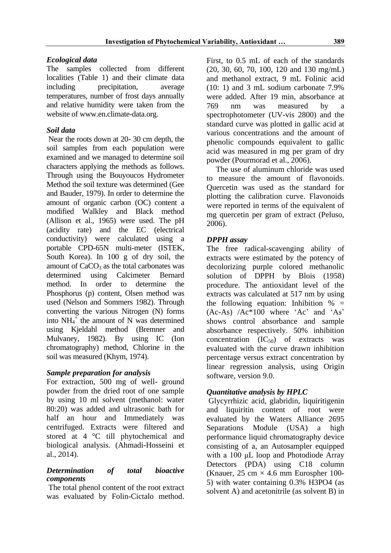# *Ecological data*

The samples collected from different localities (Table 1) and their climate data including precipitation, average temperatures, number of frost days annually and relative humidity were taken from the website of www.en.climate-data.org.

# *Soil data*

Near the roots down at 20- 30 cm depth, the soil samples from each population were examined and we managed to determine soil characters applying the methods as follows. Through using the Bouyoucos Hydrometer Method the soil texture was determined (Gee and Bauder, 1979). In order to determine the amount of organic carbon (OC) content a modified Walkley and Black method (Allison et al., 1965) were used. The pH (acidity rate) and the EC (electrical conductivity) were calculated using a portable CPD-65N multi-meter (ISTEK, South Korea). In 100 g of dry soil, the amount of  $CaCO<sub>3</sub>$  as the total carbonates was determined using Calcimeter Bernard method. In order to determine the Phosphorus (p) content, Olsen method was used (Nelson and Sommers 1982). Through converting the various Nitrogen (N) forms into  $NH_4^+$  the amount of N was determined using Kjeldahl method (Bremner and Mulvaney, 1982). By using IC (Ion chromatography) method, Chlorine in the soil was measured (Khym, 1974).

# *Sample preparation for analysis*

For extraction, 500 mg of well- ground powder from the dried root of one sample by using 10 ml solvent (methanol: water 80:20) was added and ultrasonic bath for half an hour and Immediately was centrifuged. Extracts were filtered and stored at 4 °C till phytochemical and biological analysis. (Ahmadi-Hosseini et al., 2014).

# *Determination of total bioactive components*

The total phenol content of the root extract was evaluated by Folin-Cictalo method.

First, to 0.5 mL of each of the standards (20, 30, 60, 70, 100, 120 and 130 mg/mL) and methanol extract, 9 mL Folinic acid (10: 1) and 3 mL sodium carbonate 7.9% were added. After 19 min, absorbance at 769 nm was measured by a spectrophotometer (UV-vis 2800) and the standard curve was plotted in gallic acid at various concentrations and the amount of phenolic compounds equivalent to gallic acid was measured in mg per gram of dry powder (Pourmorad et al., 2006).

The use of aluminum chloride was used to measure the amount of flavonoids. Quercetin was used as the standard for plotting the calibration curve. Flavonoids were reported in terms of the equivalent of mg quercetin per gram of extract (Peluso, 2006).

# *DPPH assay*

The free radical-scavenging ability of extracts were estimated by the potency of decolorizing purple colored methanolic solution of DPPH by Blois (1958) procedure. The antioxidant level of the extracts was calculated at 517 nm by using the following equation: Inhibition  $\% =$ (Ac-As) /Ac\*100 where 'Ac' and 'As' shows control absorbance and sample absorbance respectively. 50% inhibition concentration  $(IC_{50})$  of extracts was evaluated with the curve drawn inhibition percentage versus extract concentration by linear regression analysis, using Origin software, version 9.0.

# *Quantitative analysis by HPLC*

Glycyrrhizic acid, glabridin, liquiritigenin and liquiritin content of root were evaluated by the Waters Alliance 2695 Separations Module (USA) a high performance liquid chromatography device consisting of a, an Autosampler equipped with a 100 μL loop and Photodiode Array Detectors (PDA) using C18 column (Knauer, 25 cm  $\times$  4.6 mm Eurospher 100-5) with water containing 0.3% H3PO4 (as solvent A) and acetonitrile (as solvent B) in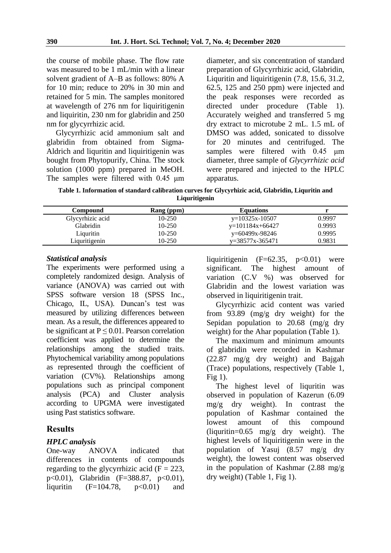the course of mobile phase. The flow rate was measured to be 1 mL/min with a linear solvent gradient of A–B as follows: 80% A for 10 min; reduce to 20% in 30 min and retained for 5 min. The samples monitored at wavelength of 276 nm for liquiritigenin and liquiritin, 230 nm for glabridin and 250 nm for glycyrrhizic acid.

Glycyrrhizic acid ammonium salt and glabridin from obtained from Sigma-Aldrich and liquritin and liquiritigenin was bought from Phytopurify, China. The stock solution (1000 ppm) prepared in MeOH. The samples were filtered with 0.45 μm

diameter, and six concentration of standard preparation of Glycyrrhizic acid, Glabridin, Liquritin and liquiritigenin (7.8, 15.6, 31.2, 62.5, 125 and 250 ppm) were injected and the peak responses were recorded as directed under procedure (Table 1). Accurately weighed and transferred 5 mg dry extract to microtube 2 mL. 1.5 mL of DMSO was added, sonicated to dissolve for 20 minutes and centrifuged. The samples were filtered with 0.45 μm diameter, three sample of *Glycyrrhizic acid* were prepared and injected to the HPLC apparatus.

**Table 1. Information of standard calibration curves for Glycyrhizic acid, Glabridin, Liquritin and Liquritigenin**

| Compound         | Rang (ppm) | <b>Equations</b>  |        |
|------------------|------------|-------------------|--------|
| Glycyrhizic acid | 10-250     | $y=10325x-10507$  | 0.9997 |
| Glabridin        | 10-250     | $y=101184x+66427$ | 0.9993 |
| Liquritin        | 10-250     | y=60499x-98246    | 0.9995 |
| Liquritigenin    | 10-250     | $v=38577x-365471$ | 0.9831 |

## *Statistical analysis*

The experiments were performed using a completely randomized design. Analysis of variance (ANOVA) was carried out with SPSS software version 18 (SPSS Inc., Chicago, IL, USA). Duncan's test was measured by utilizing differences between mean. As a result, the differences appeared to be significant at  $P \leq 0.01$ . Pearson correlation coefficient was applied to determine the relationships among the studied traits. Phytochemical variability among populations as represented through the coefficient of variation (CV%). Relationships among populations such as principal component analysis (PCA) and Cluster analysis according to UPGMA were investigated using Past statistics software.

# **Results**

# *HPLC analysis*

One-way ANOVA indicated that differences in contents of compounds regarding to the glycyrrhizic acid  $(F = 223$ , p<0.01), Glabridin (F=388.87, p<0.01), liquritin  $(F=104.78, p<0.01)$  and

liquiritigenin  $(F=62.35, p<0.01)$  were significant. The highest amount of variation (C.V %) was observed for Glabridin and the lowest variation was observed in liquiritigenin trait.

Glycyrrhizic acid content was varied from 93.89 (mg/g dry weight) for the Sepidan population to 20.68 (mg/g dry weight) for the Ahar population (Table 1).

The maximum and minimum amounts of glabridin were recorded in Kashmar (22.87 mg/g dry weight) and Bajgah (Trace) populations, respectively (Table 1, Fig 1).

The highest level of liquritin was observed in population of Kazerun (6.09 mg/g dry weight). In contrast the population of Kashmar contained the lowest amount of this compound (liquritin=0.65 mg/g dry weight). The highest levels of liquiritigenin were in the population of Yasuj (8.57 mg/g dry weight), the lowest content was observed in the population of Kashmar (2.88 mg/g dry weight) (Table 1, Fig 1).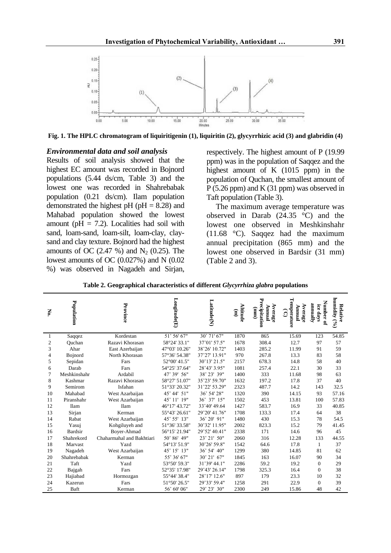

**Fig. 1. The HPLC chromatogram of liquiritigenin (1), liquiritin (2), glycyrrhizic acid (3) and glabridin (4)**

#### *Environmental data and soil analysis*

Results of soil analysis showed that the highest EC amount was recorded in Bojnord populations (5.44 ds/cm, Table 3) and the lowest one was recorded in Shahrebabak population (0.21 ds/cm). Ilam population demonstrated the highest pH ( $pH = 8.28$ ) and Mahabad population showed the lowest amount ( $pH = 7.2$ ). Localities had soil with sand, loam-sand, loam-silt, loam-clay, claysand and clay texture. Bojnord had the highest amounts of OC (2.47 %) and  $N_2$  (0.25). The lowest amounts of OC (0.027%) and N (0.02 %) was observed in Nagadeh and Sirjan,

respectively. The highest amount of P (19.99 ppm) was in the population of Saqqez and the highest amount of K (1015 ppm) in the population of Quchan, the smallest amount of P (5.26 ppm) and K (31 ppm) was observed in Taft population (Table 3).

The maximum average temperature was observed in Darab  $(24.35 \degree C)$  and the lowest one observed in Meshkinshahr (11.68 °C). Saqqez had the maximum annual precipitation (865 mm) and the lowest one observed in Bardsir (31 mm) (Table 2 and 3).

| Ņ.             | Population     | Province                  | $\mathbf{Longitude}(\mathbf{E})$ | Latitude(N)   | Altitude<br>$\mathbf{E}$ | Precipitation<br>Average<br>Annual<br>(mu) | Temperature<br>Average<br>lanuaA<br>ලි | Number of<br>annally<br>ice days | humidity (%)<br>Relative |
|----------------|----------------|---------------------------|----------------------------------|---------------|--------------------------|--------------------------------------------|----------------------------------------|----------------------------------|--------------------------|
|                | Saqqez         | Kordestan                 | 51° 56' 67"                      | 30° 71' 67"   | 1870                     | 865                                        | 15.69                                  | 123                              | 54.85                    |
| $\overline{2}$ | Ouchan         | Razavi Khorasan           | 58°24' 33.1"                     | 37°01' 57.5"  | 1678                     | 308.4                                      | 12.7                                   | 97                               | 57                       |
| 3              | Ahar           | East Azerbaijan           | 47°03' 10.26"                    | 38°26' 10.72" | 1403                     | 285.2                                      | 11.99                                  | 91                               | 59                       |
| $\overline{4}$ | Bojnord        | North Khorasan            | 57°36' 54.38"                    | 37°27' 13.91" | 970                      | 267.8                                      | 13.3                                   | 83                               | 58                       |
| 5              | Sepidan        | Fars                      | 52°00' 41.5"                     | 30°13' 21.5"  | 2157                     | 678.3                                      | 14.8                                   | 58                               | 40                       |
| 6              | Darab          | Fars                      | 54°25' 37.64"                    | 28°43' 3.95"  | 1081                     | 257.4                                      | 22.1                                   | 30                               | 33                       |
| 7              | Meshkinshahr   | Ardabil                   | 47° 39' 56"                      | 38° 23' 39"   | 1400                     | 333                                        | 11.68                                  | 98                               | 63                       |
| 8              | Kashmar        | Razavi Khorasan           | 58°27' 51.07"                    | 35°23' 59.70" | 1632                     | 197.2                                      | 17.8                                   | 37                               | 40                       |
| 9              | Semirom        | Isfahan                   | 51°33' 20.32"                    | 31°22' 53.29" | 2323                     | 487.7                                      | 14.2                                   | 143                              | 32.5                     |
| 10             | Mahabad        | West Azarbaijan           | 45° 44' 51"                      | 36° 54' 28"   | 1320                     | 390                                        | 14.15                                  | 93                               | 57.16                    |
| 11             | Piranshahr     | West Azarbaijan           | 45° 11' 19"                      | 36° 37' 15"   | 1502                     | 453                                        | 13.81                                  | 100                              | 57.83                    |
| 12             | <b>Ilam</b>    | <b>Ilam</b>               | 46°17' 43.72"                    | 33°40' 49.64  | 1427                     | 583.7                                      | 16.9                                   | 33                               | 40.85                    |
| 13             | Sirjan         | Kerman                    | 55°43' 26.61"                    | 29°20' 41.76" | 1708                     | 133.3                                      | 17.4                                   | 64                               | 38                       |
| 14             | Rabat          | West Azarbaijan           | 45° 55' 13"                      | 36° 20' 91"   | 1480                     | 430                                        | 15.3                                   | 78                               | 54.5                     |
| 15             | Yasuj          | Kohgiluyeh and            | 51°36' 33.58"                    | 30°32' 11.95" | 2002                     | 823.3                                      | 15.2                                   | 79                               | 41.45                    |
| 16             | <b>Bardsir</b> | Boyer-Ahmad               | 56°15' 21.94"                    | 29°52' 40.41" | 2338                     | 171                                        | 14.6                                   | 96                               | 45                       |
| 17             | Shahrekord     | Chaharmahal and Bakhtiari | 50° 86' 49"                      | 23° 21' 50"   | 2060                     | 316                                        | 12.28                                  | 133                              | 44.55                    |
| 18             | Marvast        | Yazd                      | 54°13' 51.9"                     | 30°26' 59.8"  | 1542                     | 64.6                                       | 17.8                                   | $\mathbf{1}$                     | 37                       |
| 19             | Nagadeh        | West Azarbaijan           | 45° 15' 13"                      | 36° 54' 40"   | 1299                     | 380                                        | 14.85                                  | 81                               | 62                       |
| 20             | Shahrebabak    | Kerman                    | 55° 36' 67"                      | 30° 21' 67"   | 1845                     | 163                                        | 16.07                                  | 90                               | 34                       |
| 21             | Taft           | Yazd                      | 53°50' 59.3"                     | 31°39' 44.1"  | 2286                     | 59.2                                       | 19.2                                   | $\mathbf{0}$                     | 29                       |
| 22             | Bajgah         | Fars                      | 52°35' 17.98"                    | 29°43' 26.14" | 1798                     | 325.3                                      | 16.4                                   | $\mathbf{0}$                     | 38                       |
| 23             | Hajiabad       | Hormozgan                 | 55°44' 38.4"                     | 28°17' 12.6"  | 897                      | 179                                        | 23.3                                   | 10                               | 32                       |
| 24             | Kazerun        | Fars                      | 51°50' 26.5"                     | 29°33' 59.4"  | 1258                     | 291                                        | 22.9                                   | $\Omega$                         | 39                       |
| 25             | Baft           | Kerman                    | 56° 60' 06"                      | 29° 23' 30"   | 2300                     | 249                                        | 15.86                                  | 48                               | 42                       |

**Table 2. Geographical characteristics of different** *Glycyrrhiza glabra* **populations**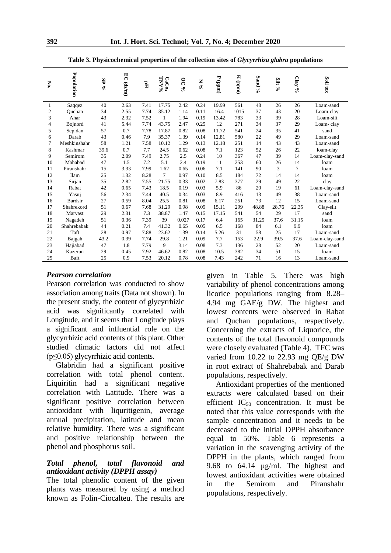| N <sub>o.</sub> | Population   | SP % | EC (ds/m) | $\mathbb{H}^{\mathbf{d}}$ | PAANL<br>CaCo <sub>3</sub> | <b>OC%</b> | $\mathbb{N}$ % | $P$ (ppm) | $K$ (ppm) | Sand % | Silt % | Clay % | Soil tex       |
|-----------------|--------------|------|-----------|---------------------------|----------------------------|------------|----------------|-----------|-----------|--------|--------|--------|----------------|
| 1               | Saqqez       | 40   | 2.63      | 7.41                      | 17.75                      | 2.42       | 0.24           | 19.99     | 561       | 48     | 26     | 26     | Loam-sand      |
| 2               | Ouchan       | 34   | 2.55      | 7.74                      | 35.12                      | 1.14       | 0.11           | 16.4      | 1015      | 37     | 43     | 20     | Loam-clay      |
| 3               | Ahar         | 43   | 2.32      | 7.52                      | 1                          | 1.94       | 0.19           | 13.42     | 783       | 33     | 39     | 28     | Loam-silt      |
| $\overline{4}$  | Bojnord      | 41   | 5.44      | 7.74                      | 43.75                      | 2.47       | 0.25           | 12        | 271       | 34     | 37     | 29     | Loam-clay      |
| 5               | Sepidan      | 57   | 0.7       | 7.78                      | 17.87                      | 0.82       | 0.08           | 11.72     | 541       | 24     | 35     | 41     | sand           |
| 6               | Darab        | 43   | 0.46      | 7.9                       | 35.37                      | 1.39       | 0.14           | 12.81     | 580       | 22     | 49     | 29     | Loam-sand      |
| $\overline{7}$  | Meshkinshahr | 58   | 1.21      | 7.58                      | 10.12                      | 1.29       | 0.13           | 12.18     | 251       | 14     | 43     | 43     | Loam-sand      |
| 8               | Kashmar      | 39.6 | 0.7       | 7.7                       | 24.5                       | 0.62       | 0.08           | 7.1       | 123       | 52     | 26     | 22     | loam-clay      |
| 9               | Semirom      | 35   | 2.09      | 7.49                      | 2.75                       | 2.5        | 0.24           | 10        | 367       | 47     | 39     | 14     | Loam-clay-sand |
| 10              | Mahabad      | 47   | 1.5       | 7.2                       | 5.1                        | 2.4        | 0.19           | 11        | 253       | 60     | 26     | 14     | loam           |
| 11              | Piranshahr   | 15   | 3.33      | 7.99                      | 1.62                       | 0.65       | 0.06           | 7.1       | 141       | 90     | 3      | 7      | loam           |
| 12              | <b>Ilam</b>  | 25   | 1.32      | 8.28                      | 7                          | 0.97       | 0.10           | 8.5       | 184       | 72     | 14     | 14     | loam           |
| 13              | Sirjan       | 35   | 2.82      | 7.55                      | 21.75                      | 0.33       | 0.02           | 7.83      | 377       | 29     | 49     | 22     | clay           |
| 14              | Rabat        | 42   | 0.65      | 7.43                      | 18.5                       | 0.19       | 0.03           | 5.9       | 86        | 20     | 19     | 61     | Loam-clay-sand |
| 15              | Yasui        | 56   | 2.34      | 7.44                      | 40.5                       | 0.34       | 0.03           | 8.9       | 416       | 13     | 49     | 38     | Loam-sand      |
| 16              | Bardsir      | 27   | 0.59      | 8.04                      | 25.5                       | 0.81       | 0.08           | 6.17      | 251       | 73     | 12     | 15     | Loam-sand      |
| 17              | Shahrekord   | 51   | 0.67      | 7.68                      | 31.29                      | 0.98       | 0.09           | 15.11     | 299       | 48.88  | 28.76  | 22.35  | Clay-silt      |
| 18              | Marvast      | 29   | 2.31      | 7.3                       | 38.87                      | 1.47       | 0.15           | 17.15     | 541       | 54     | 29     | 17     | sand           |
| 19              | Nagadeh      | 51   | 0.36      | 7.39                      | 39                         | 0.027      | 0.17           | 6.4       | 165       | 31.25  | 37.6   | 31.15  | loam           |
| 20              | Shahrebabak  | 44   | 0.21      | 7.4                       | 41.32                      | 0.65       | 0.05           | 6.5       | 168       | 84     | 6.1    | 9.9    | loam           |
| 21              | Taft         | 28   | 0.97      | 7.88                      | 23.62                      | 1.39       | 0.14           | 5.26      | 31        | 58     | 25     | 17     | Loam-sand      |
| 22              | Bajgah       | 43.2 | 0.39      | 7.74                      | 29.8                       | 1.21       | 0.09           | 7.7       | 153       | 22.9   | 39.5   | 37.6   | Loam-clay-sand |
| 23              | Hajiabad     | 47   | 1.8       | 7.79                      | 9                          | 3.14       | 0.08           | 7.3       | 136       | 28     | 52     | 20     | Loam-sand      |
| 24              | Kazerun      | 29   | 0.45      | 7.92                      | 46.62                      | 0.82       | 0.08           | 10.5      | 382       | 34     | 51     | 15     | loam           |
| 25              | Baft         | 25   | 0.9       | 7.53                      | 20.12                      | 0.78       | 0.08           | 7.43      | 242       | 71     | 16     | 13     | Loam-sand      |

**Table 3. Physicochemical properties of the collection sites of** *Glycyrrhiza glabra* **populations**

#### *Pearson correlation*

Pearson correlation was conducted to show association among traits (Data not shown). In the present study, the content of glycyrrhizic acid was significantly correlated with Longitude, and it seems that Longitude plays a significant and influential role on the glycyrrhizic acid contents of this plant. Other studied climatic factors did not affect  $(p \le 0.05)$  glycyrrhizic acid contents.

Glabridin had a significant positive correlation with total phenol content. Liquiritin had a significant negative correlation with Latitude. There was a significant positive correlation between antioxidant with liquritigenin, average annual precipitation, latitude and mean relative humidity. There was a significant and positive relationship between the phenol and phosphorus soil.

#### *Total phenol, total flavonoid and antioxidant activity (DPPH assay)*

The total phenolic content of the given plants was measured by using a method known as Folin-Ciocalteu. The results are given in Table 5. There was high variability of phenol concentrations among licorice populations ranging from 8.28– 4.94 mg GAE/g DW. The highest and lowest contents were observed in Rabat and Quchan populations, respectively. Concerning the extracts of Liquorice, the contents of the total flavonoid compounds were closely evaluated (Table 4). TFC was varied from 10.22 to 22.93 mg QE/g DW in root extract of Shahrebabak and Darab populations, respectively.

Antioxidant properties of the mentioned extracts were calculated based on their efficient  $IC_{50}$  concentration. It must be noted that this value corresponds with the sample concentration and it needs to be decreased to the initial DPPH absorbance equal to 50%. Table 6 represents a variation in the scavenging activity of the DPPH in the plants, which ranged from 9.68 to 64.14 μg/ml. The highest and lowest antioxidant activities were obtained in the Semirom and Piranshahr populations, respectively.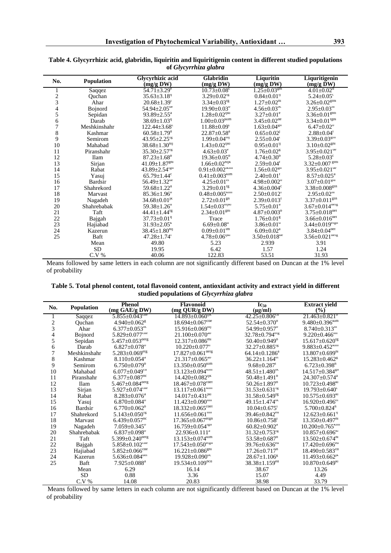| No.            | <b>Population</b> | Glycyrhizic acid<br>$(mg/g\,DW)$ | Glabridin<br>(mg/g DW)                                 | Liquritin<br>(mg/g DW)         | Liquritigenin<br>$(mg/g \bar{D}W)$ |
|----------------|-------------------|----------------------------------|--------------------------------------------------------|--------------------------------|------------------------------------|
| 1              | Saqqez            | $54.71 \pm 3.29^e$               | $10.73 \pm 0.08$ <sup>c</sup>                          | $1.25 \pm 0.03$ <sup>gm</sup>  | $4.01 \pm 0.02^{\circ}$            |
| $\overline{c}$ | Quchan            | $35.63 \pm 3.18$ <sup>19</sup>   | $3.29 \pm 0.02$ <sup>rg</sup>                          | $0.84 \pm 0.01$ <sup>1</sup>   | $5.24 \pm 0.05$ <sup>c</sup>       |
| 3              | Ahar              | $20.68 \pm 1.39$ <sup>1</sup>    | $3.34 \pm 0.03^{\text{rg}}$                            | $1.27 \pm 0.02^{\text{m}}$     | $3.26 \pm 0.02$ gm                 |
| 4              | Bojnord           | $54.94 \pm 2.05^{\text{de}}$     | $19.90 \pm 0.03^{\circ}$                               | $4.56 \pm 0.03$ <sup>pc</sup>  | $2.95 \pm 0.03^{\text{m}}$         |
| 5              | Sepidan           | $93.89 \pm 2.55^{\text{a}}$      | $1.28 \pm 0.02^{1JK1}$                                 | $3.27 \pm 0.01^e$              | $3.36 \pm 0.01$ gnn                |
| 6              | Darab             | $38.69 \pm 1.03^{1}$             | $1.00 \pm 0.03$ <sup>JKIM</sup>                        | $3.45 \pm 0.02^{\text{ae}}$    | $3.34 \pm 0.01^{\text{rgm}}$       |
| $\overline{7}$ | Meshkinshahr      | $122.44 \pm 3.68$ <sup>c</sup>   | $11.88 \pm 0.09^c$                                     | $1.63 + 0.04$ <sup>gn</sup>    | $6.47 \pm 0.02^{\circ}$            |
| 8              | Kashmar           | $60.58 + 1.79$ <sup>a</sup>      | $22.87 \pm 0.58^{\text{a}}$                            | $0.65 \pm 0.02$ <sup>J</sup>   | $2.88 \pm 0.04$ <sup>1</sup>       |
| 9              | <b>Semirom</b>    | $43.95 \pm 2.25$ <sup>rg</sup>   | $1.99 \pm 0.04^{\text{nij}}$                           | $2.55 \pm 0.04^r$              | $3.39 \pm 0.03$ <sup>gth</sup>     |
| 10             | Mahabad           | $38.68 \pm 1.30^{nij}$           | $1.43 \pm 0.02^{1JK1}$                                 | $0.95 \pm 0.01$ <sup>1</sup>   | $3.10 \pm 0.02$ gm                 |
| 11             | Piranshahr        | $35.30 \pm 2.57$ <sup>rg</sup>   | $4.63 \pm 0.03^e$                                      | $1.76 \pm 0.02$ <sup>g</sup>   | $3.95 \pm 0.021^{\text{de}}$       |
| 12             | <b>Ilam</b>       | $87.23 \pm 1.68$ <sup>p</sup>    | $19.36 \pm 0.05^{\circ}$                               | $4.74 \pm 0.30^{\circ}$        | $5.28 \pm 0.03$ <sup>c</sup>       |
| 13             | Sirjan            | $41.09 \pm 1.87$ <sup>gm</sup>   | $1.66 \pm 0.02^{\text{n}$ IK                           | $2.59 \pm 0.04^{\text{T}}$     | $3.32 \pm 0.007$ gm                |
| 14             | Rabat             | $43.89 \pm 2.54^{\text{rgn}}$    | $0.91 \pm 0.002^{\text{i} \text{k} \text{i} \text{m}}$ | $1.56 \pm 0.02$ <sup>gn</sup>  | $3.95 \pm 0.021$ <sup>de</sup>     |
| 15             | Yasuj             | $65.79 \pm 1.44$ <sup>c</sup>    | $0.41 \pm 0.003$ <sup>kim</sup>                        | $2.40 \pm 0.01$ <sup>T</sup>   | $8.57 \pm 0.025^{\text{a}}$        |
| 16             | Bardsir           | $56.49 \pm 1.32^{\text{de}}$     | $4.25 \pm 0.01$ <sup>er</sup>                          | $4.98 + 0.002^{\circ}$         | $3.07 \pm 0.01$ gm                 |
| 17             | Shahrekord        | $59.68 + 1.22^{\circ}$           | $3.29 \pm 0.01$ <sup>rg</sup>                          | $4.36 + 0.004^{\circ}$         | $3.38 \pm 0.008$ gin               |
| 18             | Marvast           | $85.36 \pm 1.96$ <sup>b</sup>    | $0.48 \pm 0.005$ <sup>klm</sup>                        | $2.50+0.012^t$                 | $2.95 \pm 0.02^{\text{m}}$         |
| 19             | Nagadeh           | $34.68 \pm 0.01$ <sup>JK</sup>   | $2.72 \pm 0.01$ <sup>gn</sup>                          | $2.39 \pm 0.013^t$             | $3.37 \pm 0.011$ <sup>gm</sup>     |
| 20             | Shahrebabak       | $59.38 \pm 1.26$ <sup>a</sup>    | $1.54 \pm 0.03^{\text{mJKI}}$                          | $5.75 \pm 0.01^{\text{a}}$     | $3.67 \pm 0.014$ <sup>derg</sup>   |
| 21             | Taft              | $44.41 \pm 1.44$ <sup>rg</sup>   | $2.34 \pm 0.01$ gm                                     | $4.87 \pm 0.003^{\circ}$       | $3.75 \pm 0.018$ <sup>der</sup>    |
| 22             | Bajgah            | $37.73 \pm 0.01$ <sup>1</sup>    | Trace                                                  | $1.76 \pm 0.01$ <sup>g</sup>   | $3.66 \pm 0.016$ <sup>der</sup>    |
| 23             | Hajiabad          | $31.93 \pm 2.05^{\text{k}}$      | $6.69 \pm 0.08$ <sup>d</sup>                           | $3.86 \pm 0.01$ <sup>d</sup>   | $3.44 \pm 0.019$ <sup>ergn</sup>   |
| 24             | Kazerun           | $38.45 \pm 1.80^{n}$             | $0.09 \pm 0.01$ <sup>Im</sup>                          | $6.09 \pm 0.02^{\text{a}}$     | $3.84 \pm 0.04$ <sup>der</sup>     |
| 25             | Baft              | $47.28 \pm 1.74$ <sup>r</sup>    | $4.78 \pm 0.06^{$ <sup>1</sup>                         | $3.50 \pm 0.018$ <sup>de</sup> | $3.56 \pm 0.021$ <sup>derg</sup>   |
|                | Mean              | 49.80                            | 5.23                                                   | 2.939                          | 3.91                               |
|                | SD                | 19.95                            | 6.42                                                   | 1.57                           | 1.24                               |
|                | C.V. %            | 40.06                            | 122.83                                                 | 53.51                          | 31.93                              |

#### **Table 4. Glycyrrhizic acid, glabridin, liquiritin and liquiritigenin content in different studied populations of** *Glycyrrhiza glabra*

Means followed by same letters in each column are not significantly different based on Duncan at the 1% level of probability

| Table 5. Total phenol content, total flavonoid content, antioxidant activity and extract yield in different |  |
|-------------------------------------------------------------------------------------------------------------|--|
| studied populations of <i>Glycyrrhiza glabra</i>                                                            |  |

| No.           | <b>Population</b> | <b>Phenol</b>                     | <b>Flavonoid</b>                   | $\mathrm{Ic}_{50}$               | <b>Extract yield</b>              |
|---------------|-------------------|-----------------------------------|------------------------------------|----------------------------------|-----------------------------------|
|               |                   | (mg GAE/g DW)                     | (mg QUR/g DW)                      | $(\mu g/ml)$                     | $(\%)$                            |
|               | Saqqez            | $5.855 \pm 0.043$ <sup>cde</sup>  | $14.893 \pm 0.060^{1JK}$           | $42.25 \pm 0.806$ <sup>cd</sup>  | $21.463 \pm 0.821^{\circ}$        |
| $\frac{2}{3}$ | Quchan            | $4.940 \pm 0.062$ <sup>g</sup>    | $18.694 \pm 0.067$ <sup>cde</sup>  | $52.54 \pm 0.370^{\circ}$        | $9.480 \pm 0.396$ <sup>kIm</sup>  |
|               | Ahar              | $6.377 \pm 0.053$ <sup>pc</sup>   | $15.916 \pm 0.069^{nij}$           | 54.99±0.957 <sup>b</sup>         | $8.740 \pm 0.313$ <sup>m</sup>    |
| 4             | <b>Bojnord</b>    | $5.829 \pm 0.077$ <sup>cae</sup>  | $21.100 \pm 0.070$ <sup>ap</sup>   | $32.78 \pm 0.794$ <sup>erg</sup> | $9.220 \pm 0.466$ <sup>tm</sup>   |
| 5             | Sepidan           | $5.457 \pm 0.053$ <sup>derg</sup> | $12.317\pm0.086^{\text{m}}$        | $50.40 + 0.949^{\circ}$          | $15.617 \pm 0.620$ <sup>rg</sup>  |
| 6             | Darab             | $6.827 \pm 0.078$ <sup>p</sup>    | $10.220 \pm 0.077$ <sup>n</sup>    | $32.27 + 0.885$ <sup>rg</sup>    | $9.883 \pm 0.452$ <sup>kIm</sup>  |
| 7             | Meshkinshahr      | $5.283 \pm 0.069$ erg             | $17.827 \pm 0.061$ <sup>derg</sup> | $64.14 + 0.1286^a$               | $13.807 + 0.699m$                 |
| 8             | Kashmar           | $8.110 + 0.054$ <sup>a</sup>      | $21.317 \pm 0.065^{ab}$            | $36.22 \pm 1.164$ <sup>er</sup>  | $15.283 \pm 0.462$ <sup>g</sup>   |
| 9             | Semirom           | $6.750 \pm 0.079$ <sup>p</sup>    | $13.350 \pm 0.050$ <sup>kim</sup>  | $9.68 \pm 0.287$                 | $6.723 \pm 0.398$ <sup>n</sup>    |
| 10            | Mahabad           | $6.077 \pm 0.049$ <sup>ca</sup>   | $13.123 \pm 0.094$ <sup>kim</sup>  | $48.51 \pm 1.480$ <sup>oc</sup>  | $14.517 \pm 0.384$ <sup>gn</sup>  |
| 11            | Piranshahr        | $6.377 \pm 0.087$ <sup>oc</sup>   | $14.420 \pm 0.082^{\text{ijk}}$    | $50.48 \pm 1.491^{\circ}$        | $24.307 \pm 0.574$ <sup>a</sup>   |
| 12            | <b>Ilam</b>       | $5.467 \pm 0.084^{\text{deg}}$    | $18.467\pm0.078^{\text{cder}}$     | $50.26 \pm 1.897^{\circ}$        | $10.723 \pm 0.498$ <sup>KI</sup>  |
| 13            | Sirjan            | $5.927 \pm 0.074$ <sup>cde</sup>  | $13.117 \pm 0.061$ <sup>kIm</sup>  | $31.53 \pm 0.631$ <sup>rg</sup>  | $19.793 \pm 0.640$ <sup>c</sup>   |
| 14            | Rabat             | $8.283 + 0.076^a$                 | $14.017 \pm 0.431$ <sup>JKI</sup>  | $31.58 \pm 0.549$ <sup>rg</sup>  | $10.575 \pm 0.693$ <sup>KI</sup>  |
| 15            | Yasuj             | $6.870 \pm 0.084$ <sup>p</sup>    | $11.423 \pm 0.090$ <sup>mn</sup>   | $49.15 \pm 1.474$ <sup>oc</sup>  | $16.920 \pm 0.496$ <sup>er</sup>  |
| 16            | <b>Bardsir</b>    | $6.770 \pm 0.062^{\circ}$         | $18.332 \pm 0.065$ <sup>caer</sup> | $10.04 \pm 0.675$ <sup>1</sup>   | $5.700 \pm 0.824$ <sup>n</sup>    |
| 17            | Shahrekord        | $5.143 \pm 0.050$ <sup>rg</sup>   | $11.656 \pm 0.061$ <sup>mn</sup>   | $39.46 \pm 0.842$ <sup>ed</sup>  | $12.623 \pm 0.661$ <sup>19</sup>  |
| 18            | Marvast           | $6.439 \pm 0.057$ <sup>pc</sup>   | $17.365 \pm 0.067$ <sup>ergn</sup> | $10.86 + 0.758$ <sup>1</sup>     | $13.350 + 0.497m$                 |
| 19            | Nagadeh           | $7.059 \pm 0.345^{\circ}$         | $16.759 \pm 0.054^{\text{rgn}}$    | $60.82 \pm 0.902^a$              | $10.200 \pm 0.765$ <sup>kim</sup> |
| 20            | Shahrebabak       | $6.837 \pm 0.098$ <sup>p</sup>    | $22.936+0.111^a$                   | $31.32 \pm 0.753$ <sup>rg</sup>  | $10.857 \pm 0.696$ <sup>KI</sup>  |
| 21            | Taft              | $5.399 \pm 0.240$ <sup>derg</sup> | $13.153 \pm 0.074$ <sup>kIm</sup>  | $53.58 \pm 0.687$ <sup>p</sup>   | $13.502 \pm 0.674$ <sup>m</sup>   |
| 22            | Bajgah            | $5.858 \pm 0.102$ <sup>cde</sup>  | $17.543 \pm 0.050$ <sup>ergn</sup> | $39.76 \pm 0.636$ <sup>ed</sup>  | $17.420 \pm 0.696$ <sup>ed</sup>  |
| 23            | Hajiabad          | $5.852 \pm 0.066$ <sup>cde</sup>  | $16.221 \pm 0.086$ gm              | $17.26 \pm 0.717$ <sup>n</sup>   | $18.490 \pm 0.583$ <sup>cd</sup>  |
| 24            | Kazerun           | $5.636 \pm 0.084$ <sup>der</sup>  | $19.928 \pm 0.090$ <sup>oc</sup>   | $28.67 \pm 1.106^8$              | $11.493 \pm 0.662^{\text{JK}}$    |
| 25            | Baft              | $7.925 + 0.088^a$                 | $19.534 \pm 0.109$ <sup>pca</sup>  | $38.38 \pm 1.159$ <sup>ed</sup>  | $10.870 \pm 0.649$ <sup>KI</sup>  |
|               | Mean              | 6.29                              | 16.14                              | 38.67                            | 13.26                             |
|               | <b>SD</b>         | 0.88                              | 3.36                               | 15.07                            | 4.49                              |
|               | $C.V.$ %          | 14.08                             | 20.83                              | 38.98                            | 33.79                             |

Means followed by same letters in each column are not significantly different based on Duncan at the 1% level of probability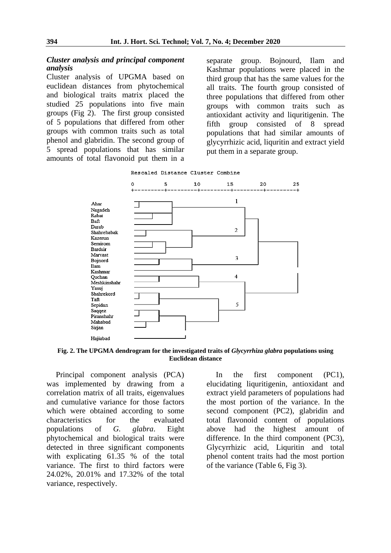#### *Cluster analysis and principal component analysis*

Cluster analysis of UPGMA based on euclidean distances from phytochemical and biological traits matrix placed the studied 25 populations into five main groups (Fig 2). The first group consisted of 5 populations that differed from other groups with common traits such as total phenol and glabridin. The second group of 5 spread populations that has similar amounts of total flavonoid put them in a

separate group. Bojnourd, Ilam and Kashmar populations were placed in the third group that has the same values for the all traits. The fourth group consisted of three populations that differed from other groups with common traits such as antioxidant activity and liquritigenin. The fifth group consisted of 8 spread populations that had similar amounts of glycyrrhizic acid, liquritin and extract yield put them in a separate group.





**Fig. 2. The UPGMA dendrogram for the investigated traits of** *Glycyrrhiza glabra* **populations using Euclidean distance**

Principal component analysis (PCA) was implemented by drawing from a correlation matrix of all traits, eigenvalues and cumulative variance for those factors which were obtained according to some characteristics for the evaluated populations of *G. glabra*. Eight phytochemical and biological traits were detected in three significant components with explicating 61.35 % of the total variance. The first to third factors were 24.02%, 20.01% and 17.32% of the total variance, respectively.

In the first component (PC1), elucidating liquritigenin, antioxidant and extract yield parameters of populations had the most portion of the variance. In the second component (PC2), glabridin and total flavonoid content of populations above had the highest amount of difference. In the third component (PC3), Glycyrrhizic acid, Liquritin and total phenol content traits had the most portion of the variance (Table 6, Fig 3).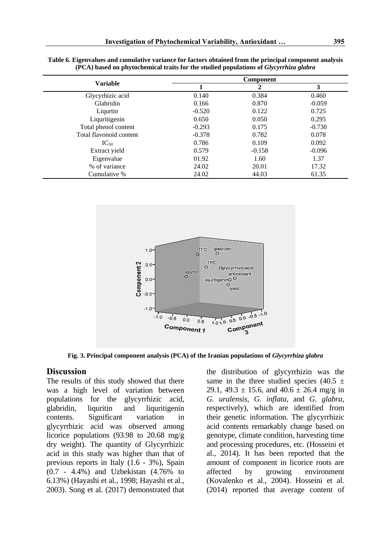|                         |          | <b>Component</b> |          |
|-------------------------|----------|------------------|----------|
| <b>Variable</b>         |          |                  | 3        |
| Glycyrhizic acid        | 0.140    | 0.384            | 0.460    |
| Glabridin               | 0.166    | 0.870            | $-0.059$ |
| Liqurtin                | $-0.520$ | 0.122            | 0.725    |
| Liquritigenin           | 0.650    | 0.050            | 0.295    |
| Total phenol content    | $-0.293$ | 0.175            | $-0.730$ |
| Total flavonoid content | $-0.378$ | 0.782            | 0.078    |
| $IC_{50}$               | 0.786    | 0.109            | 0.092    |
| Extract yield           | 0.579    | $-0.158$         | $-0.096$ |
| Eigenvalue              | 01.92    | 1.60             | 1.37     |
| % of variance           | 24.02    | 20.01            | 17.32    |
| Cumulative %            | 24.02    | 44.03            | 61.35    |

| Table 6. Eigenvalues and cumulative variance for factors obtained from the principal component analysis |
|---------------------------------------------------------------------------------------------------------|
| (PCA) based on phytochemical traits for the studied populations of Glycyrrhiza glabra                   |



**Fig. 3. Principal component analysis (PCA) of the Iranian populations of** *Glycyrrhiza glabra*

### **Discussion**

The results of this study showed that there was a high level of variation between populations for the glycyrrhizic acid, glabridin, liquritin and liquritigenin contents. Significant variation in glycyrrhizic acid was observed among licorice populations (93.98 to 20.68 mg/g dry weight). The quantity of Glycyrrhizic acid in this study was higher than that of previous reports in Italy (1.6 - 3%), Spain (0.7 - 4.4%) and Uzbekistan (4.76% to 6.13%) (Hayashi et al., 1998; Hayashi et al., 2003). Song et al. (2017) demonstrated that

the distribution of glycyrrhizin was the same in the three studied species  $(40.5 \pm$ 29.1, 49.3  $\pm$  15.6, and 40.6  $\pm$  26.4 mg/g in *G. uralensis*, *G. inflata*, and *G. glabra*, respectively), which are identified from their genetic information. The glycyrrhizic acid contents remarkably change based on genotype, climate condition, harvesting time and processing procedures, etc. (Hosseini et al., 2014). It has been reported that the amount of component in licorice roots are affected by growing environment (Kovalenko et al., 2004). Hosseini et al. (2014) reported that average content of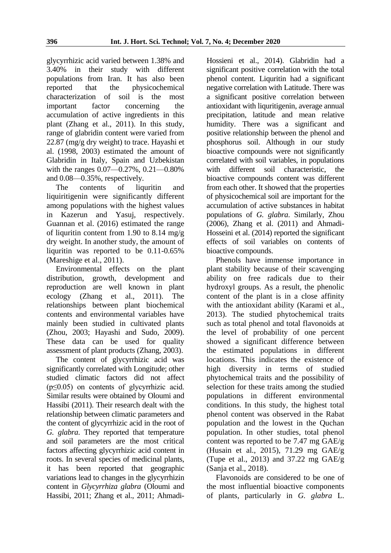glycyrrhizic acid varied between 1.38% and 3.40% in their study with different populations from Iran. It has also been reported that the physicochemical characterization of soil is the most important factor concerning the accumulation of active ingredients in this plant (Zhang et al., 2011). In this study, range of glabridin content were varied from 22.87 (mg/g dry weight) to trace. Hayashi et al. (1998, 2003) estimated the amount of Glabridin in Italy, Spain and Uzbekistan with the ranges 0.07—0.27%, 0.21—0.80% and 0.08—0.35%, respectively.

The contents of liquritin and liquiritigenin were significantly different among populations with the highest values in Kazerun and Yasuj, respectively. Guannan et al. (2016) estimated the range of liquritin content from 1.90 to 8.14 mg/g dry weight. In another study, the amount of liquritin was reported to be 0.11-0.65% (Mareshige et al., 2011).

Environmental effects on the plant distribution, growth, development and reproduction are well known in plant ecology (Zhang et al., 2011). The relationships between plant biochemical contents and environmental variables have mainly been studied in cultivated plants (Zhou, 2003; Hayashi and Sudo, 2009). These data can be used for quality assessment of plant products (Zhang, 2003).

The content of glycyrrhizic acid was significantly correlated with Longitude; other studied climatic factors did not affect (p≤0.05) on contents of glycyrrhizic acid. Similar results were obtained by Oloumi and Hassibi (2011). Their research dealt with the relationship between climatic parameters and the content of glycyrrhizic acid in the root of *G. glabra*. They reported that temperature and soil parameters are the most critical factors affecting glycyrrhizic acid content in roots. In several species of medicinal plants, it has been reported that geographic variations lead to changes in the glycyrrhizin content in *Glycyrrhiza glabra* (Oloumi and Hassibi, 2011; Zhang et al., 2011; AhmadiHossieni et al., 2014). Glabridin had a significant positive correlation with the total phenol content. Liquritin had a significant negative correlation with Latitude. There was a significant positive correlation between antioxidant with liquritigenin, average annual precipitation, latitude and mean relative humidity. There was a significant and positive relationship between the phenol and phosphorus soil. Although in our study bioactive compounds were not significantly correlated with soil variables, in populations with different soil characteristic, the bioactive compounds content was different from each other. It showed that the properties of physicochemical soil are important for the accumulation of active substances in habitat populations of *G. glabra*. Similarly, Zhou (2006), Zhang et al. (2011) and Ahmadi-Hosseini et al. (2014) reported the significant effects of soil variables on contents of bioactive compounds.

Phenols have immense importance in plant stability because of their scavenging ability on free radicals due to their hydroxyl groups. As a result, the phenolic content of the plant is in a close affinity with the antioxidant ability (Karami et al., 2013). The studied phytochemical traits such as total phenol and total flavonoids at the level of probability of one percent showed a significant difference between the estimated populations in different locations. This indicates the existence of high diversity in terms of studied phytochemical traits and the possibility of selection for these traits among the studied populations in different environmental conditions. In this study, the highest total phenol content was observed in the Rabat population and the lowest in the Quchan population. In other studies, total phenol content was reported to be 7.47 mg GAE/g (Husain et al., 2015), 71.29 mg GAE/g (Tupe et al., 2013) and 37.22 mg GAE/g (Sanja et al., 2018).

Flavonoids are considered to be one of the most influential bioactive components of plants, particularly in *G. glabra* L.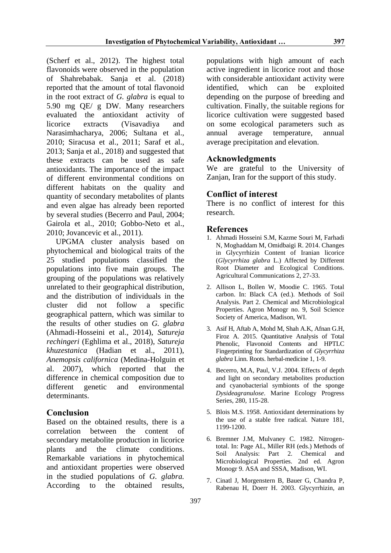(Scherf et al., 2012). The highest total flavonoids were observed in the population of Shahrebabak. Sanja et al. (2018) reported that the amount of total flavonoid in the root extract of *G. glabra* is equal to 5.90 mg QE/ g DW. Many researchers evaluated the antioxidant activity of licorice extracts (Visavadiya and Narasimhacharya, 2006; Sultana et al., 2010; Siracusa et al., 2011; Saraf et al., 2013; Sanja et al., 2018) and suggested that these extracts can be used as safe antioxidants. The importance of the impact of different environmental conditions on different habitats on the quality and quantity of secondary metabolites of plants and even algae has already been reported by several studies (Becerro and Paul, 2004; Gairola et al., 2010; Gobbo-Neto et al., 2010; Jovancevic et al., 2011).

UPGMA cluster analysis based on phytochemical and biological traits of the 25 studied populations classified the populations into five main groups. The grouping of the populations was relatively unrelated to their geographical distribution, and the distribution of individuals in the cluster did not follow a specific geographical pattern, which was similar to the results of other studies on *G. glabra* (Ahmadi-Hosseini et al., 2014), *Satureja rechingeri* (Eghlima et al., 2018), *Satureja khuzestanica* (Hadian et al., 2011), *Anemopsis californica* (Medina-Holguin et al. 2007), which reported that the difference in chemical composition due to different genetic and environmental determinants.

### **Conclusion**

Based on the obtained results, there is a correlation between the content of secondary metabolite production in licorice plants and the climate conditions. Remarkable variations in phytochemical and antioxidant properties were observed in the studied populations of *G. glabra.* According to the obtained results, populations with high amount of each active ingredient in licorice root and those with considerable antioxidant activity were identified, which can be exploited depending on the purpose of breeding and cultivation. Finally, the suitable regions for licorice cultivation were suggested based on some ecological parameters such as annual average temperature, annual average precipitation and elevation.

## **Acknowledgments**

We are grateful to the University of Zanian, Iran for the support of this study.

## **Conflict of interest**

There is no conflict of interest for this research.

### **References**

- 1. Ahmadi Hosseini S.M, Kazme Souri M, Farhadi N, Moghaddam M, Omidbaigi R. 2014. Changes in Glycyrrhizin Content of Iranian licorice (*Glycyrrhiza glabra* L.) Affected by Different Root Diameter and Ecological Conditions. Agricultural Communications 2, 27-33.
- 2. Allison L, Bollen W, Moodie C. 1965. Total carbon. In: Black CA (ed.). Methods of Soil Analysis. Part 2. Chemical and Microbiological Properties. Agron Monogr no. 9, Soil Science Society of America, Madison, WI.
- 3. Asif H, Aftab A, Mohd M, Shah A.K, Afnan G.H, Firoz A. 2015. Quantitative Analysis of Total Phenolic, Flavonoid Contents and HPTLC Fingerprinting for Standardization of *Glycyrrhiza glabra* Linn. Roots. herbal-medicine 1, 1-9.
- 4. Becerro, M.A, Paul, V.J. 2004. Effects of depth and light on secondary metabolites production and cyanobacterial symbionts of the sponge *Dysideagranulose*. Marine Ecology Progress Series, 280, 115-28.
- 5. Blois M.S. 1958. Antioxidant determinations by the use of a stable free radical. Nature 181, 1199-1200.
- 6. Bremner J.M, Mulvaney C. 1982. Nitrogentotal. In: Page AL, Miller RH (eds.) Methods of Soil Analysis: Part 2. Chemical and Microbiological Properties. 2nd ed. Agron Monogr 9. ASA and SSSA, Madison, WI.
- 7. Cinatl J, Morgenstern B, Bauer G, Chandra P, Rabenau H, Doerr H. 2003. Glycyrrhizin, an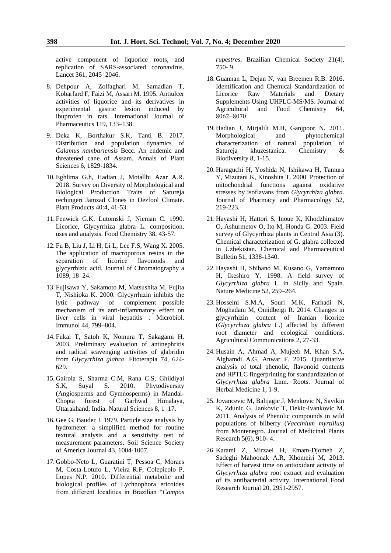active component of liquorice roots, and replication of SARS-associated coronavirus. Lancet 361, 2045–2046.

- 8. Dehpour A, Zolfaghari M, Samadian T, Kobarfard F, Faizi M, Assari M. 1995. Antiulcer activities of liquorice and its derivatives in experimental gastric lesion induced by ibuprofen in rats. International Journal of Pharmaceutics 119, 133–138.
- 9. Deka K, Borthakur S.K, Tanti B. 2017. Distribution and population dynamics of *Calamus nambariensis* Becc. An endemic and threatened cane of Assam. Annals of Plant Sciences 6, 1829-1834.
- 10. Eghlima G.h, Hadian J, Motallbi Azar A.R. 2018. Survey on Diversity of Morphological and Biological Production Traits of Satureja rechingeri Jamzad Clones in Dezfool Climate. Plant Products 40:4, 41-53.
- 11. Fenwick G.K, Lutomski J, Nieman C. 1990. Licorice, Glycyrrhiza glabra L. composition, uses and analysis. Food Chemistry 38, 43-57.
- 12. Fu B, Liu J, Li H, Li L, Lee F.S, Wang X. 2005. The application of macroporous resins in the separation of licorice flavonoids and glycyrrhizic acid. Journal of Chromatography a 1089, 18–24.
- 13. Fujisawa Y, Sakamoto M, Matsushita M, Fujita T, Nishioka K. 2000. Glycyrrhizin inhibits the lytic pathway of complement—possible mechanism of its anti-inflammatory effect on liver cells in viral hepatitis—. Microbiol. Immunol 44, 799–804.
- 14. Fukai T, Satoh K, Nomura T, Sakagami H. 2003. Preliminary evaluation of antinephritis and radical scavenging activities of glabridin from *Glycyrrhiza glabra*. Fitoterapia 74, 624- 629.
- 15. Gairola S, Sharma C.M, Rana C.S, Ghildiyal S.K, Suyal S. 2010. Phytodiversity (Angiosperms and Gymnosperms) in Mandal-Chopta forest of Garhwal Himalaya, Uttarakhand, India. Natural Sciences 8, 1–17.
- 16. Gee G, Bauder J. 1979. Particle size analysis by hydrometer: a simplified method for routine textural analysis and a sensitivity test of measurement parameters. Soil Science Society of America Journal 43, 1004-1007.
- 17. Gobbo-Neto L, Guaratini T, Pessoa C, Moraes M, Costa-Lotufo L, Vieira R.F, Colepicolo P, Lopes N.P. 2010. Differential metabolic and biological profiles of Lychnophora ericoides from different localities in Brazilian "*Campos*

*rupestres*. Brazilian Chemical Society 21(4), 750- 9.

- 18. Guannan L, Dejan N, van Breemen R.B. 2016. Identification and Chemical Standardization of Licorice Raw Materials and Dietary Supplements Using UHPLC-MS/MS. Journal of Agricultural and Food Chemistry 64, 8062−8070.
- 19. Hadian J, Mirjalili M.H, Ganjpoor N. 2011. Morphological and phytochemical characterization of natural population of Satureja khuzestanica. Chemistry & Biodiversity 8, 1-15.
- 20. Haraguchi H, Yoshida N, Ishikawa H, Tamura Y, Mizutani K, Kinoshita T. 2000. Protection of mitochondrial functions against oxidative stresses by isoflavans from *Glycyrrhiza glabra*. Journal of Pharmacy and Pharmacology 52, 219-223.
- 21. Hayashi H, Hattori S, Inoue K, Khodzhimatov O, Ashurmetov O, Ito M, Honda G. 2003. Field survey of Glycyrrhiza plants in Central Asia (3). Chemical characterization of G. glabra collected in Uzbekistan. Chemical and Pharmaceutical Bulletin 51, 1338-1340.
- 22. Hayashi H, Shibano M, Kusano G, Yamamoto H, Ikeshiro Y. 1998. A field survey of *Glycyrrhiza glabra* L in Sicily and Spain. Nature Medicine 52, 259–264.
- 23. Hosseini S.M.A, Souri M.K, Farhadi N, Moghadam M, Omidbeigi R. 2014. Changes in glycyrrhizin content of Iranian licorice (*Glycyrrhiza glabra* L.) affected by different root diameter and ecological conditions. Agricultural Communications 2, 27-33.
- 24. Husain A, Ahmad A, Mujeeb M, Khan S.A, Alghamdi A.G, Anwar F. 2015. Quantitative analysis of total phenolic, flavonoid contents and HPTLC fingerprinting for standardization of *Glycyrrhiza glabra* Linn. Roots. Journal of Herbal Medicine 1, 1-9.
- 25.Jovancevic M, Balijagic J, Menkovic N, Savikin K, Zdunic G, Jankovic T, Dekic-Ivankovic M. 2011. Analysis of Phenolic compounds in wild populations of bilberry (*Vaccinium myrtillus*) from Montenegro. Journal of Medicinal Plants Research 5(6), 910- 4.
- 26. Karami Z, Mirzaei H, Emam-Djomeh Z, Sadeghi Mahoonak A.R, Khomeiri M, 2013. Effect of harvest time on antioxidant activity of *Glycyrrhiza glabra* root extract and evaluation of its antibacterial activity. International Food Research Journal 20, 2951-2957.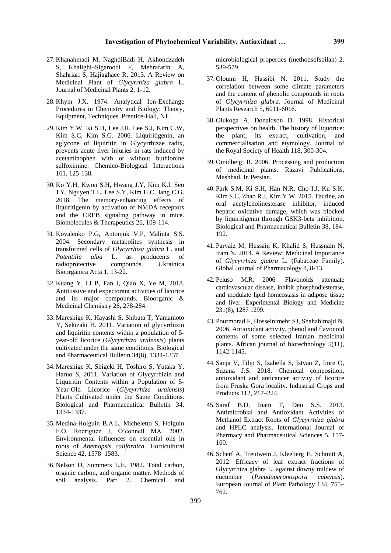- 27. Khanahmadi M, NaghdiBadi H, Akhondzadeh S, Khalighi–Sigaroodi F, Mehrafarin A, Shahriari S, Hajiaghaee R, 2013. A Review on Medicinal Plant of *Glycyrrhiza glabra* L. Journal of Medicinal Plants 2, 1-12.
- 28. Khym J.X. 1974. Analytical Ion-Exchange Procedures in Chemistry and Biology: Theory, Equipment, Techniques. Prentice-Hall, NJ.
- 29. Kim Y.W, Ki S.H, Lee J.R, Lee S.J, Kim C.W, Kim S.C, Kim S.G. 2006. Liquiritigenin, an aglycone of liquiritin in Glycyrrhizae radix, prevents acute liver injuries in rats induced by acetaminophen with or without buthionine sulfoximine. Chemico-Biological Interactions 161, 125-138.
- 30. Ko Y.H, Kwon S.H, Hwang J.Y, Kim K.I, Seo J.Y, Nguyen T.L, Lee S.Y, Kim H.C, Jang C.G. 2018. The memory-enhancing effects of liquiritigenin by activation of NMDA receptors and the CREB signaling pathway in mice. Biomolecules & Therapeutics 26, 109-114.
- 31. Kovalenko P.G, Antonjuk V.P, Maliuta S.S. 2004. Secondary metabolites synthesis in transformed cells of *Glycyrrhiza glabra* L. and *Potentilla alba* L. as producents of radioprotective compounds. Ukrainica Bioorganica Acta 1, 13-22.
- 32. Kuang Y, Li B, Fan J, Qiao X, Ye M, 2018. Antitussive and expectorant activities of licorice and its major compounds. Bioorganic & Medicinal Chemistry 26, 278-284.
- 33. Mareshige K, Hayashi S, Shibata T, Yamamoto Y, Sekizaki H. 2011. Variation of glycyrrhizin and liquiritin contents within a population of 5 year-old licorice (*Glycyrrhiza uralensis*) plants cultivated under the same conditions. Biological and Pharmaceutical Bulletin 34(8), 1334-1337.
- 34. Mareshige K, Shigeki H, Toshiro S, Yutaka Y, Haruo S, 2011. Variation of Glycyrrhizin and Liquiritin Contents within a Population of 5- Year-Old Licorice (*Glycyrrhiza uralensis*) Plants Cultivated under the Same Conditions. Biological and Pharmaceutical Bulletin 34, 1334-1337.
- 35. Medina-Holguin B.A.L, Micheletto S, Holguin F.O, Rodriguez J, O'connell MA. 2007. Environmental influences on essential oils in roots of *Anemopsis californica*. Horticultural Science 42, 1578–1583.
- 36. Nelson D, Sommers L.E. 1982. Total carbon, organic carbon, and organic matter. Methods of soil analysis. Part 2. Chemical and

microbiological properties (methodsofsoilan) 2, 539-579.

- 37. Oloumi H, Hassibi N. 2011. Study the correlation between some climate parameters and the content of phenolic compounds in roots of *Glycyrrhiza glabra.* Journal of Medicinal Plants Research 5, 6011-6016.
- 38. Olukoga A, Donaldson D. 1998. Historical perspectives on health. The history of liquorice: the plant, its extract, cultivation, and commercialisation and etymology. Journal of the Royal Society of Health 118, 300-304.
- 39. Omidbeigi R. 2006. Processing and production of medicinal plants. Razavi Publications, Mashhad. In Persian.
- 40. Park S.M, Ki S.H, Han N.R, Cho I.J, Ku S.K, Kim S.C, Zhao R.J, Kim Y.W. 2015. Tacrine, an oral acetylcholinesterase inhibitor, induced hepatic oxidative damage, which was blocked by liquiritigenin through GSK3-beta inhibition. Biological and Pharmaceutical Bulletin 38, 184- 192.
- 41. Parvaiz M, Hussain K, Khalid S, Hussnain N, Iram N. 2014. A Review: Medicinal Importance of *Glycyrrhiza glabra* L. (Fabaceae Family). Global Journal of Pharmacology 8, 8-13.
- 42. Peluso M.R. 2006. Flavonoids attenuate cardiovascular disease, inhibit phosphodiesterase, and modulate lipid homeostasis in adipose tissue and liver. Experimental Biology and Medicine 231(8), 1287 1299.
- 43. Pourmorad F, Hosseinimehr SJ, Shahabimajd N. 2006. Antioxidant activity, phenol and flavonoid contents of some selected Iranian medicinal plants. African journal of biotechnology 5(11), 1142-1145.
- 44. Sanja V, Filip S, Izabella S, Istvan Z, Imre O, Suzana J.S. 2018. Chemical composition, antioxidant and anticancer activity of licorice from Fruska Gora locality. Industrial Crops and Products 112, 217–224.
- 45. Saraf B.D, Inam F, Deo S.S. 2013. Antimicrobial and Antioxidant Activities of Methanol Extract Roots of *Glycyrrhiza glabra* and HPLC analysis. International Journal of Pharmacy and Pharmaceutical Sciences 5, 157- 160.
- 46. Scherf A, Treutwein J, Kleeberg H, Schmitt A, 2012. Efficacy of leaf extract fractions of Glycyrrhiza glabra L. against downy mildew of cucumber (*Pseudoperonospora cubensis*). European Journal of Plant Pathology 134, 755– 762.